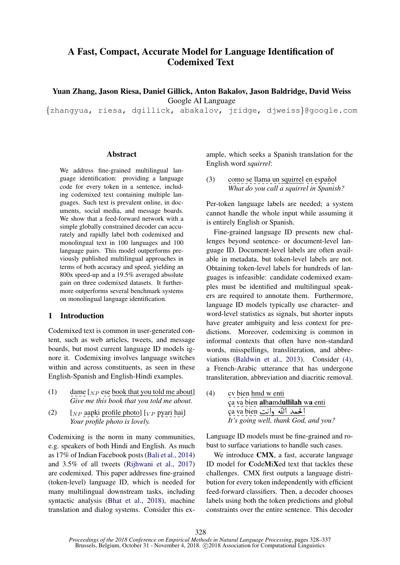# A Fast, Compact, Accurate Model for Language Identification of Codemixed Text

Yuan Zhang, Jason Riesa, Daniel Gillick, Anton Bakalov, Jason Baldridge, David Weiss Google AI Language

{zhangyua, riesa, dgillick, abakalov, jridge, djweiss}@google.com

## Abstract

We address fine-grained multilingual language identification: providing a language code for every token in a sentence, including codemixed text containing multiple languages. Such text is prevalent online, in documents, social media, and message boards. We show that a feed-forward network with a simple globally constrained decoder can accurately and rapidly label both codemixed and monolingual text in 100 languages and 100 language pairs. This model outperforms previously published multilingual approaches in terms of both accuracy and speed, yielding an 800x speed-up and a 19.5% averaged absolute gain on three codemixed datasets. It furthermore outperforms several benchmark systems on monolingual language identification.

## 1 Introduction

Codemixed text is common in user-generated content, such as web articles, tweets, and message boards, but most current language ID models ignore it. Codemixing involves language switches within and across constituents, as seen in these English-Spanish and English-Hindi examples.

- <span id="page-0-1"></span>(1) dame  $\lceil_{NP}$  ese book that you told me about] *Give me this book that you told me about.*
- <span id="page-0-2"></span>(2)  $[NP \text{ aapki profile photo}$  [ $VP \text{ pyari hai}$ ] *Your profile photo is lovely.*

Codemixing is the norm in many communities, e.g. speakers of both Hindi and English. As much as 17% of Indian Facebook posts [\(Bali et al.,](#page-8-0) [2014\)](#page-8-0) and 3.5% of all tweets [\(Rijhwani et al.,](#page-9-0) [2017\)](#page-9-0) are codemixed. This paper addresses fine-grained (token-level) language ID, which is needed for many multilingual downstream tasks, including syntactic analysis [\(Bhat et al.,](#page-8-1) [2018\)](#page-8-1), machine translation and dialog systems. Consider this example, which seeks a Spanish translation for the English word *squirrel*:

 $(3)$  como se llama un squirrel en español *What do you call a squirrel in Spanish?*

Per-token language labels are needed; a system cannot handle the whole input while assuming it is entirely English or Spanish.

Fine-grained language ID presents new challenges beyond sentence- or document-level language ID. Document-level labels are often available in metadata, but token-level labels are not. Obtaining token-level labels for hundreds of languages is infeasible: candidate codemixed examples must be identified and multilingual speakers are required to annotate them. Furthermore, language ID models typically use character- and word-level statistics as signals, but shorter inputs have greater ambiguity and less context for predictions. Moreover, codemixing is common in informal contexts that often have non-standard words, misspellings, transliteration, and abbreviations [\(Baldwin et al.,](#page-8-2) [2013\)](#page-8-2). Consider [\(4\),](#page-0-0) a French-Arabic utterance that has undergone transliteration, abbreviation and diacritic removal.

<span id="page-0-0"></span>(4) cv bien hmd w enti ç<u>a va bien <mark>alhamdullilah wa</mark> enti</u><br>ca va bien الحمد الله وانت ça va bien **alhamdullilah**<br>ça va bien لحمد الله وانت *It's going well, thank God, and you?*

Language ID models must be fine-grained and robust to surface variations to handle such cases.

We introduce **CMX**, a fast, accurate language ID model for CodeMiXed text that tackles these challenges. CMX first outputs a language distribution for every token independently with efficient feed-forward classifiers. Then, a decoder chooses labels using both the token predictions and global constraints over the entire sentence. This decoder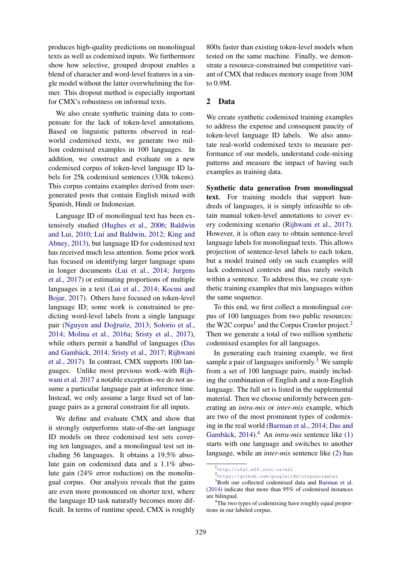produces high-quality predictions on monolingual texts as well as codemixed inputs. We furthermore show how selective, grouped dropout enables a blend of character and word-level features in a single model without the latter overwhelming the former. This dropout method is especially important for CMX's robustness on informal texts.

We also create synthetic training data to compensate for the lack of token-level annotations. Based on linguistic patterns observed in realworld codemixed texts, we generate two million codemixed examples in 100 languages. In addition, we construct and evaluate on a new codemixed corpus of token-level language ID labels for 25k codemixed sentences (330k tokens). This corpus contains examples derived from usergenerated posts that contain English mixed with Spanish, Hindi or Indonesian.

Language ID of monolingual text has been extensively studied [\(Hughes et al.,](#page-8-3) [2006;](#page-8-3) [Baldwin](#page-8-4) [and Lui,](#page-8-4) [2010;](#page-8-4) [Lui and Baldwin,](#page-9-1) [2012;](#page-9-1) [King and](#page-8-5) [Abney,](#page-8-5) [2013\)](#page-8-5), but language ID for codemixed text has received much less attention. Some prior work has focused on identifying larger language spans in longer documents [\(Lui et al.,](#page-9-2) [2014;](#page-9-2) [Jurgens](#page-8-6) [et al.,](#page-8-6) [2017\)](#page-8-6) or estimating proportions of multiple languages in a text [\(Lui et al.,](#page-9-2) [2014;](#page-9-2) [Kocmi and](#page-9-3) [Bojar,](#page-9-3) [2017\)](#page-9-3). Others have focused on token-level language ID; some work is constrained to predicting word-level labels from a single language pair (Nguyen and Doğruöz, [2013;](#page-9-4) [Solorio et al.,](#page-9-5) [2014;](#page-9-5) [Molina et al.,](#page-9-6) [2016a;](#page-9-6) [Sristy et al.,](#page-9-7) [2017\)](#page-9-7), while others permit a handful of languages [\(Das](#page-8-7) and Gambäck, [2014;](#page-8-7) [Sristy et al.,](#page-9-7) [2017;](#page-9-7) [Rijhwani](#page-9-0) [et al.,](#page-9-0) [2017\)](#page-9-0). In contrast, CMX supports 100 languages. Unlike most previous work–with [Rijh](#page-9-0)[wani et al.](#page-9-0) [2017](#page-9-0) a notable exception–we do not assume a particular language pair at inference time. Instead, we only assume a large fixed set of language pairs as a general constraint for all inputs.

We define and evaluate CMX and show that it strongly outperforms state-of-the-art language ID models on three codemixed test sets covering ten languages, and a monolingual test set including 56 languages. It obtains a 19.5% absolute gain on codemixed data and a 1.1% absolute gain (24% error reduction) on the monolingual corpus. Our analysis reveals that the gains are even more pronounced on shorter text, where the language ID task naturally becomes more difficult. In terms of runtime speed, CMX is roughly

800x faster than existing token-level models when tested on the same machine. Finally, we demonstrate a resource-constrained but competitive variant of CMX that reduces memory usage from 30M to 0.9M.

## 2 Data

We create synthetic codemixed training examples to address the expense and consequent paucity of token-level language ID labels. We also annotate real-world codemixed texts to measure performance of our models, understand code-mixing patterns and measure the impact of having such examples as training data.

Synthetic data generation from monolingual text. For training models that support hundreds of languages, it is simply infeasible to obtain manual token-level annotations to cover every codemixing scenario [\(Rijhwani et al.,](#page-9-0) [2017\)](#page-9-0). However, it is often easy to obtain sentence-level language labels for monolingual texts. This allows projection of sentence-level labels to each token, but a model trained only on such examples will lack codemixed contexts and thus rarely switch within a sentence. To address this, we create synthetic training examples that mix languages within the same sequence.

To this end, we first collect a monolingual corpus of 100 languages from two public resources: the W2C corpus<sup>[1](#page-1-0)</sup> and the Corpus Crawler project.<sup>[2](#page-1-1)</sup> Then we generate a total of two million synthetic codemixed examples for all languages.

In generating each training example, we first sample a pair of languages uniformly.<sup>[3](#page-1-2)</sup> We sample from a set of 100 language pairs, mainly including the combination of English and a non-English language. The full set is listed in the supplemental material. Then we choose uniformly between generating an *intra-mix* or *inter-mix* example, which are two of the most prominent types of codemixing in the real world [\(Barman et al.,](#page-8-8) [2014;](#page-8-8) [Das and](#page-8-7) Gambäck, [2014\)](#page-8-7).<sup>[4](#page-1-3)</sup> An *intra-mix* sentence like [\(1\)](#page-0-1) starts with one language and switches to another language, while an *inter-mix* sentence like [\(2\)](#page-0-2) has

<span id="page-1-0"></span><sup>1</sup> <http://ufal.mff.cuni.cz/w2c>

<span id="page-1-2"></span><span id="page-1-1"></span><sup>2</sup> <https://github.com/googlei18n/corpuscrawler>

<sup>&</sup>lt;sup>3</sup>Both our collected codemixed data and [Barman et al.](#page-8-8) [\(2014\)](#page-8-8) indicate that more than 95% of codemixed instances are bilingual.

<span id="page-1-3"></span><sup>&</sup>lt;sup>4</sup>The two types of codemixing have roughly equal proportions in our labeled corpus.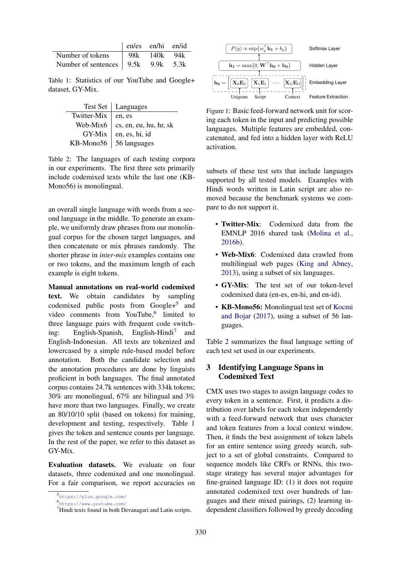<span id="page-2-3"></span>

|                                                                        | $\vert$ en/es en/hi en/id |  |
|------------------------------------------------------------------------|---------------------------|--|
| Number of tokens   98k 140k 94k                                        |                           |  |
| Number of sentences $\begin{vmatrix} 9.5k & 9.9k & 5.3k \end{vmatrix}$ |                           |  |

Table 1: Statistics of our YouTube and Google+ dataset, GY-Mix.

<span id="page-2-4"></span>

|                        | Test Set   Languages           |
|------------------------|--------------------------------|
| Twitter-Mix $ $ en, es |                                |
| Web-Mix $6$            | cs, en, eu, hu, hr, sk         |
| GY-Mix                 | en, es, hi, id                 |
|                        | KB-Mono56 $\vert$ 56 languages |

Table 2: The languages of each testing corpora in our experiments. The first three sets primarily include codemixed texts while the last one (KB-Mono56) is monolingual.

an overall single language with words from a second language in the middle. To generate an example, we uniformly draw phrases from our monolingual corpus for the chosen target languages, and then concatenate or mix phrases randomly. The shorter phrase in *inter-mix* examples contains one or two tokens, and the maximum length of each example is eight tokens.

Manual annotations on real-world codemixed text. We obtain candidates by sampling codemixed public posts from  $Google + 5$  $Google + 5$  and video comments from YouTube,<sup>[6](#page-2-1)</sup> limited to three language pairs with frequent code switching: English-Spanish, English-Hindi<sup>7</sup> and English-Indonesian. All texts are tokenized and lowercased by a simple rule-based model before annotation. Both the candidate selection and the annotation procedures are done by linguists proficient in both languages. The final annotated corpus contains 24.7k sentences with 334k tokens; 30% are monolingual, 67% are bilingual and 3% have more than two languages. Finally, we create an 80/10/10 split (based on tokens) for training, development and testing, respectively. Table [1](#page-2-3) gives the token and sentence counts per language. In the rest of the paper, we refer to this dataset as GY-Mix.

Evaluation datasets. We evaluate on four datasets, three codemixed and one monolingual. For a fair comparison, we report accuracies on

<span id="page-2-5"></span>

languages. Multiple features are embedded, con-Figure 1: Basic feed-forward network unit for scoring each token in the input and predicting possible catenated, and fed into a hidden layer with ReLU activation.

subsets of these test sets that include languages supported by all tested models. Examples with Hindi words written in Latin script are also removed because the benchmark systems we compare to do not support it.

- Twitter-Mix: Codemixed data from the EMNLP 2016 shared task [\(Molina et al.,](#page-9-8) [2016b\)](#page-9-8).
- Web-Mix6: Codemixed data crawled from multilingual web pages [\(King and Abney,](#page-8-5) [2013\)](#page-8-5), using a subset of six languages.
- GY-Mix: The test set of our token-level codemixed data (en-es, en-hi, and en-id).
- KB-Mono56: Monolingual test set of [Kocmi](#page-9-3) [and Bojar](#page-9-3) [\(2017\)](#page-9-3), using a subset of 56 languages.

Table [2](#page-2-4) summarizes the final language setting of each test set used in our experiments.

## 3 Identifying Language Spans in Codemixed Text

CMX uses two stages to assign language codes to every token in a sentence. First, it predicts a distribution over labels for each token independently with a feed-forward network that uses character and token features from a local context window. Then, it finds the best assignment of token labels for an entire sentence using greedy search, subject to a set of global constraints. Compared to sequence models like CRFs or RNNs, this twostage strategy has several major advantages for fine-grained language ID: (1) it does not require annotated codemixed text over hundreds of languages and their mixed pairings, (2) learning independent classifiers followed by greedy decoding

<span id="page-2-0"></span><sup>5</sup> <https://plus.google.com/>

<span id="page-2-1"></span><sup>6</sup> <https://www.youtube.com/>

<span id="page-2-2"></span><sup>7</sup>Hindi texts found in both Devanagari and Latin scripts.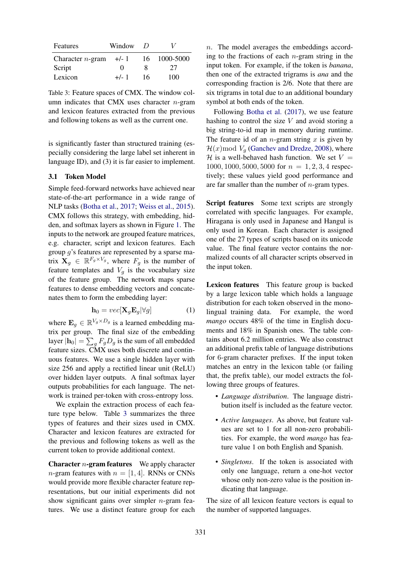<span id="page-3-0"></span>

| Features            | Window            | $\prime$ |           |
|---------------------|-------------------|----------|-----------|
| Character $n$ -gram | $+/-1$            | 16.      | 1000-5000 |
| Script              | $\mathbf{\Omega}$ | x        | 27        |
| Lexicon             | $+/-1$            | 16       | 100       |

Table 3: Feature spaces of CMX. The window column indicates that CMX uses character  $n$ -gram and lexicon features extracted from the previous and following tokens as well as the current one.

is significantly faster than structured training (especially considering the large label set inherent in language ID), and (3) it is far easier to implement.

#### 3.1 Token Model

Simple feed-forward networks have achieved near state-of-the-art performance in a wide range of NLP tasks [\(Botha et al.,](#page-8-9) [2017;](#page-8-9) [Weiss et al.,](#page-9-9) [2015\)](#page-9-9). CMX follows this strategy, with embedding, hidden, and softmax layers as shown in Figure [1.](#page-2-5) The inputs to the network are grouped feature matrices, e.g. character, script and lexicon features. Each group g's features are represented by a sparse matrix  $\mathbf{X}_g \in \mathbb{R}^{F_g \times V_g}$ , where  $F_g$  is the number of feature templates and  $V_q$  is the vocabulary size of the feature group. The network maps sparse features to dense embedding vectors and concatenates them to form the embedding layer:

$$
\mathbf{h}_0 = vec[\mathbf{X}_g \mathbf{E}_g | \forall g]
$$
 (1)

where  $\mathbf{E}_g \in \mathbb{R}^{V_g \times D_g}$  is a learned embedding matrix per group. The final size of the embedding layer  $|\mathbf{h}_0| = \sum_g F_g D_g$  is the sum of all embedded feature sizes. CMX uses both discrete and continuous features. We use a single hidden layer with size 256 and apply a rectified linear unit (ReLU) over hidden layer outputs. A final softmax layer outputs probabilities for each language. The network is trained per-token with cross-entropy loss.

We explain the extraction process of each feature type below. Table [3](#page-3-0) summarizes the three types of features and their sizes used in CMX. Character and lexicon features are extracted for the previous and following tokens as well as the current token to provide additional context.

**Character**  $n$ **-gram features** We apply character *n*-gram features with  $n = [1, 4]$ . RNNs or CNNs would provide more flexible character feature representations, but our initial experiments did not show significant gains over simpler  $n$ -gram features. We use a distinct feature group for each

n. The model averages the embeddings according to the fractions of each  $n$ -gram string in the input token. For example, if the token is *banana*, then one of the extracted trigrams is *ana* and the corresponding fraction is 2/6. Note that there are six trigrams in total due to an additional boundary symbol at both ends of the token.

Following [Botha et al.](#page-8-9) [\(2017\)](#page-8-9), we use feature hashing to control the size  $V$  and avoid storing a big string-to-id map in memory during runtime. The feature id of an *n*-gram string  $x$  is given by  $\mathcal{H}(x)$  mod  $V_q$  [\(Ganchev and Dredze,](#page-8-10) [2008\)](#page-8-10), where  $H$  is a well-behaved hash function. We set  $V =$ 1000, 1000, 5000, 5000 for  $n = 1, 2, 3, 4$  respectively; these values yield good performance and are far smaller than the number of  $n$ -gram types.

Script features Some text scripts are strongly correlated with specific languages. For example, Hiragana is only used in Japanese and Hangul is only used in Korean. Each character is assigned one of the 27 types of scripts based on its unicode value. The final feature vector contains the normalized counts of all character scripts observed in the input token.

Lexicon features This feature group is backed by a large lexicon table which holds a language distribution for each token observed in the monolingual training data. For example, the word *mango* occurs 48% of the time in English documents and 18% in Spanish ones. The table contains about 6.2 million entries. We also construct an additional prefix table of language distributions for 6-gram character prefixes. If the input token matches an entry in the lexicon table (or failing that, the prefix table), our model extracts the following three groups of features.

- *Language distribution*. The language distribution itself is included as the feature vector.
- *Active languages*. As above, but feature values are set to 1 for all non-zero probabilities. For example, the word *mango* has feature value 1 on both English and Spanish.
- *Singletons*. If the token is associated with only one language, return a one-hot vector whose only non-zero value is the position indicating that language.

The size of all lexicon feature vectors is equal to the number of supported languages.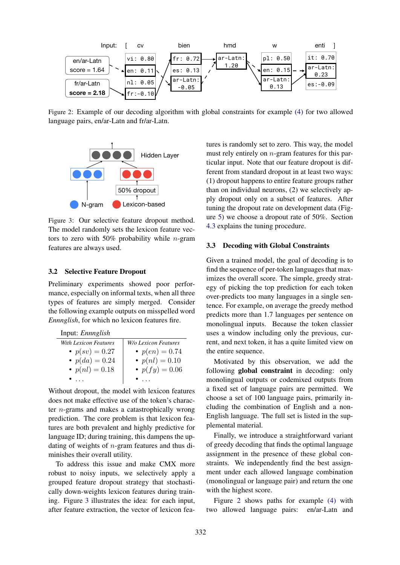<span id="page-4-1"></span>

Figure 2: Example of our decoding algorithm with global constraints for example [\(4\)](#page-0-0) for two allowed language pairs, en/ar-Latn and fr/ar-Latn.

<span id="page-4-0"></span>

Figure 3: Our selective feature dropout method. The model randomly sets the lexicon feature vectors to zero with 50% probability while  $n$ -gram features are always used.

## 3.2 Selective Feature Dropout

Preliminary experiments showed poor performance, especially on informal texts, when all three types of features are simply merged. Consider the following example outputs on misspelled word *Ennnglish*, for which no lexicon features fire.

| Input: Ennnglish      |                             |
|-----------------------|-----------------------------|
| With Lexicon Features | <b>W/o Lexicon Features</b> |
| • $p(sv) = 0.27$      | • $p(en) = 0.74$            |
| • $p(da) = 0.24$      | • $p(nl) = 0.10$            |
| • $p(nl) = 0.18$      | • $p(fy) = 0.06$            |
|                       |                             |

Without dropout, the model with lexicon features does not make effective use of the token's character n-grams and makes a catastrophically wrong prediction. The core problem is that lexicon features are both prevalent and highly predictive for language ID; during training, this dampens the updating of weights of n-gram features and thus diminishes their overall utility.

To address this issue and make CMX more robust to noisy inputs, we selectively apply a grouped feature dropout strategy that stochastically down-weights lexicon features during training. Figure [3](#page-4-0) illustrates the idea: for each input, after feature extraction, the vector of lexicon features is randomly set to zero. This way, the model must rely entirely on  $n$ -gram features for this particular input. Note that our feature dropout is different from standard dropout in at least two ways: (1) dropout happens to entire feature groups rather than on individual neurons, (2) we selectively apply dropout only on a subset of features. After tuning the dropout rate on development data (Figure [5\)](#page-6-0) we choose a dropout rate of 50%. Section [4.3](#page-6-1) explains the tuning procedure.

#### 3.3 Decoding with Global Constraints

Given a trained model, the goal of decoding is to find the sequence of per-token languages that maximizes the overall score. The simple, greedy strategy of picking the top prediction for each token over-predicts too many languages in a single sentence. For example, on average the greedy method predicts more than 1.7 languages per sentence on monolingual inputs. Because the token classier uses a window including only the previous, current, and next token, it has a quite limited view on the entire sequence.

Motivated by this observation, we add the following global constraint in decoding: only monolingual outputs or codemixed outputs from a fixed set of language pairs are permitted. We choose a set of 100 language pairs, primarily including the combination of English and a non-English language. The full set is listed in the supplemental material.

Finally, we introduce a straightforward variant of greedy decoding that finds the optimal language assignment in the presence of these global constraints. We independently find the best assignment under each allowed language combination (monolingual or language pair) and return the one with the highest score.

Figure [2](#page-4-1) shows paths for example [\(4\)](#page-0-0) with two allowed language pairs: en/ar-Latn and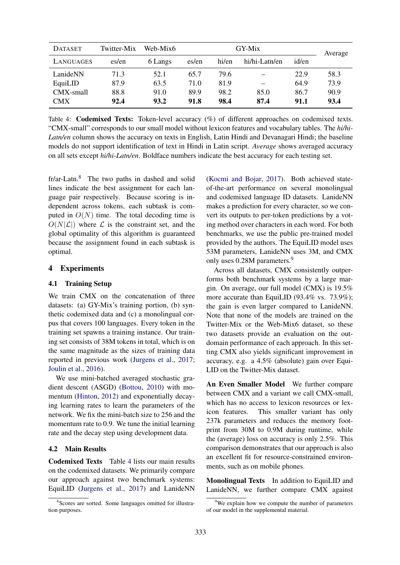<span id="page-5-1"></span>

| <b>DATASET</b> | Twitter-Mix | Web-Mix6 | GY-Mix |       |               | Average |      |
|----------------|-------------|----------|--------|-------|---------------|---------|------|
| LANGUAGES      | es/en       | 6 Langs  | es/en  | hi/en | hi/hi-Latn/en | id/en   |      |
| LanideNN       | 71.3        | 52.1     | 65.7   | 79.6  |               | 22.9    | 58.3 |
| EquiLID        | 87.9        | 63.5     | 71.0   | 81.9  |               | 64.9    | 73.9 |
| CMX-small      | 88.8        | 91.0     | 89.9   | 98.2  | 85.0          | 86.7    | 90.9 |
| <b>CMX</b>     | 92.4        | 93.2     | 91.8   | 98.4  | 87.4          | 91.1    | 93.4 |

Table 4: Codemixed Texts: Token-level accuracy (%) of different approaches on codemixed texts. "CMX-small" corresponds to our small model without lexicon features and vocabulary tables. The *hi/hi-Latn/en* column shows the accuracy on texts in English, Latin Hindi and Devanagari Hindi; the baseline models do not support identification of text in Hindi in Latin script. *Average* shows averaged accuracy on all sets except *hi/hi-Latn/en*. Boldface numbers indicate the best accuracy for each testing set.

fr/ar-Latn.[8](#page-5-0) The two paths in dashed and solid lines indicate the best assignment for each language pair respectively. Because scoring is independent across tokens, each subtask is computed in  $O(N)$  time. The total decoding time is  $O(N|\mathcal{L}|)$  where  $\mathcal L$  is the constraint set, and the global optimality of this algorithm is guaranteed because the assignment found in each subtask is optimal.

## 4 Experiments

## 4.1 Training Setup

We train CMX on the concatenation of three datasets: (a) GY-Mix's training portion, (b) synthetic codemixed data and (c) a monolingual corpus that covers 100 languages. Every token in the training set spawns a training instance. Our training set consists of 38M tokens in total, which is on the same magnitude as the sizes of training data reported in previous work [\(Jurgens et al.,](#page-8-6) [2017;](#page-8-6) [Joulin et al.,](#page-8-11) [2016\)](#page-8-11).

We use mini-batched averaged stochastic gradient descent (ASGD) [\(Bottou,](#page-8-12) [2010\)](#page-8-12) with momentum [\(Hinton,](#page-8-13) [2012\)](#page-8-13) and exponentially decaying learning rates to learn the parameters of the network. We fix the mini-batch size to 256 and the momentum rate to 0.9. We tune the initial learning rate and the decay step using development data.

## 4.2 Main Results

Codemixed Texts Table [4](#page-5-1) lists our main results on the codemixed datasets. We primarily compare our approach against two benchmark systems: EquiLID [\(Jurgens et al.,](#page-8-6) [2017\)](#page-8-6) and LanideNN [\(Kocmi and Bojar,](#page-9-3) [2017\)](#page-9-3). Both achieved stateof-the-art performance on several monolingual and codemixed language ID datasets. LanideNN makes a prediction for every character, so we convert its outputs to per-token predictions by a voting method over characters in each word. For both benchmarks, we use the public pre-trained model provided by the authors. The EquiLID model uses 53M parameters, LanideNN uses 3M, and CMX only uses 0.28M parameters.<sup>[9](#page-5-2)</sup>

Across all datasets, CMX consistently outperforms both benchmark systems by a large margin. On average, our full model (CMX) is 19.5% more accurate than EquiLID (93.4% vs. 73.9%); the gain is even larger compared to LanideNN. Note that none of the models are trained on the Twitter-Mix or the Web-Mix6 dataset, so these two datasets provide an evaluation on the outdomain performance of each approach. In this setting CMX also yields significant improvement in accuracy, e.g. a 4.5% (absolute) gain over Equi-LID on the Twitter-Mix dataset.

An Even Smaller Model We further compare between CMX and a variant we call CMX-small, which has no access to lexicon resources or lexicon features. This smaller variant has only 237k parameters and reduces the memory footprint from 30M to 0.9M during runtime, while the (average) loss on accuracy is only 2.5%. This comparison demonstrates that our approach is also an excellent fit for resource-constrained environments, such as on mobile phones.

Monolingual Texts In addition to EquiLID and LanideNN, we further compare CMX against

<span id="page-5-0"></span><sup>8</sup> Scores are sorted. Some languages omitted for illustration purposes.

<span id="page-5-2"></span> $9$ We explain how we compute the number of parameters of our model in the supplemental material.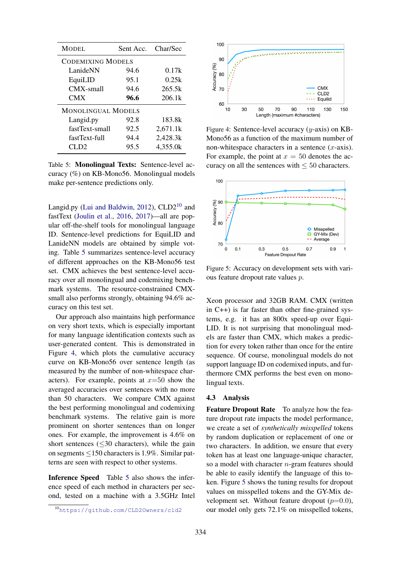<span id="page-6-3"></span>

| MODEL                     | Sent Acc.                | Char/Sec |  |  |  |
|---------------------------|--------------------------|----------|--|--|--|
|                           | <b>CODEMIXING MODELS</b> |          |  |  |  |
| LanideNN                  | 94.6                     | 0.17k    |  |  |  |
| EquiLID                   | 95.1                     | 0.25k    |  |  |  |
| $CMX$ -small              | 94.6                     | 265.5k   |  |  |  |
| <b>CMX</b>                | 96.6                     | 206.1k   |  |  |  |
| <b>MONOLINGUAL MODELS</b> |                          |          |  |  |  |
| Langid.py                 | 92.8                     | 183.8k   |  |  |  |
| fastText-small            | 92.5                     | 2,671.1k |  |  |  |
| fastText-full             | 94.4                     | 2,428.3k |  |  |  |
| CLD2                      | 95.5                     | 4,355.0k |  |  |  |

Table 5: Monolingual Texts: Sentence-level accuracy (%) on KB-Mono56. Monolingual models make per-sentence predictions only.

Langid.py [\(Lui and Baldwin,](#page-9-1) [2012\)](#page-9-1),  $CLD2^{10}$  $CLD2^{10}$  $CLD2^{10}$  and fastText [\(Joulin et al.,](#page-8-11) [2016,](#page-8-11) [2017\)](#page-8-14)—all are popular off-the-shelf tools for monolingual language ID. Sentence-level predictions for EquiLID and LanideNN models are obtained by simple voting. Table [5](#page-6-3) summarizes sentence-level accuracy of different approaches on the KB-Mono56 test set. CMX achieves the best sentence-level accuracy over all monolingual and codemixing benchmark systems. The resource-constrained CMXsmall also performs strongly, obtaining 94.6% accuracy on this test set.

Our approach also maintains high performance on very short texts, which is especially important for many language identification contexts such as user-generated content. This is demonstrated in Figure [4,](#page-6-4) which plots the cumulative accuracy curve on KB-Mono56 over sentence length (as measured by the number of non-whitespace characters). For example, points at  $x=50$  show the averaged accuracies over sentences with no more than 50 characters. We compare CMX against the best performing monolingual and codemixing benchmark systems. The relative gain is more prominent on shorter sentences than on longer ones. For example, the improvement is 4.6% on short sentences  $(\leq 30$  characters), while the gain on segments ≤150 characters is 1.9%. Similar patterns are seen with respect to other systems.

Inference Speed Table [5](#page-6-3) also shows the inference speed of each method in characters per second, tested on a machine with a 3.5GHz Intel

<span id="page-6-4"></span>

Figure 4: Sentence-level accuracy  $(y\text{-axis})$  on KB-Mono56 as a function of the maximum number of non-whitespace characters in a sentence  $(x\text{-axis})$ . For example, the point at  $x = 50$  denotes the accuracy on all the sentences with  $\leq 50$  characters.

<span id="page-6-0"></span>

Figure 5: Accuracy on development sets with various feature dropout rate values p.

Xeon processor and 32GB RAM. CMX (written in C++) is far faster than other fine-grained systems, e.g. it has an 800x speed-up over Equi-LID. It is not surprising that monolingual models are faster than CMX, which makes a prediction for every token rather than once for the entire sequence. Of course, monolingual models do not support language ID on codemixed inputs, and furthermore CMX performs the best even on monolingual texts.

#### <span id="page-6-1"></span>4.3 Analysis

Feature Dropout Rate To analyze how the feature dropout rate impacts the model performance, we create a set of *synthetically misspelled* tokens by random duplication or replacement of one or two characters. In addition, we ensure that every token has at least one language-unique character, so a model with character  $n$ -gram features should be able to easily identify the language of this token. Figure [5](#page-6-0) shows the tuning results for dropout values on misspelled tokens and the GY-Mix development set. Without feature dropout  $(p=0.0)$ , our model only gets 72.1% on misspelled tokens,

<span id="page-6-2"></span><sup>10</sup><https://github.com/CLD2Owners/cld2>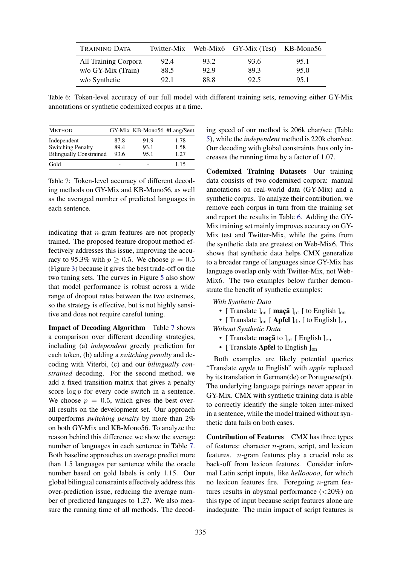<span id="page-7-1"></span>

| <b>TRAINING DATA</b> | Twitter-Mix |      | Web-Mix6 GY-Mix (Test) KB-Mono56 |      |
|----------------------|-------------|------|----------------------------------|------|
| All Training Corpora | 92.4        | 93.2 | 93.6                             | 95.1 |
| w/o GY-Mix (Train)   | 88.5        | 92.9 | 893                              | 95.0 |
| w/o Synthetic        | 92.1        | 88.8 | 92.5                             | 95.1 |

Table 6: Token-level accuracy of our full model with different training sets, removing either GY-Mix annotations or synthetic codemixed corpus at a time.

<span id="page-7-0"></span>

| <b>METHOD</b>                  |      | GY-Mix KB-Mono56 #Lang/Sent |      |
|--------------------------------|------|-----------------------------|------|
| Independent                    | 87.8 | 91.9                        | 1.78 |
| <b>Switching Penalty</b>       | 89.4 | 93.1                        | 1.58 |
| <b>Bilingually Constrained</b> | 93.6 | 95.1                        | 1.27 |
| Gold                           |      |                             | 1.15 |

Table 7: Token-level accuracy of different decoding methods on GY-Mix and KB-Mono56, as well as the averaged number of predicted languages in each sentence.

indicating that n-gram features are not properly trained. The proposed feature dropout method effectively addresses this issue, improving the accuracy to 95.3% with  $p \ge 0.5$ . We choose  $p = 0.5$ (Figure [3\)](#page-4-0) because it gives the best trade-off on the two tuning sets. The curves in Figure [5](#page-6-0) also show that model performance is robust across a wide range of dropout rates between the two extremes, so the strategy is effective, but is not highly sensitive and does not require careful tuning.

Impact of Decoding Algorithm Table [7](#page-7-0) shows a comparison over different decoding strategies, including (a) *independent* greedy prediction for each token, (b) adding a *switching penalty* and decoding with Viterbi, (c) and our *bilingually constrained* decoding. For the second method, we add a fixed transition matrix that gives a penalty score  $\log p$  for every code switch in a sentence. We choose  $p = 0.5$ , which gives the best overall results on the development set. Our approach outperforms *switching penalty* by more than 2% on both GY-Mix and KB-Mono56. To analyze the reason behind this difference we show the average number of languages in each sentence in Table [7.](#page-7-0) Both baseline approaches on average predict more than 1.5 languages per sentence while the oracle number based on gold labels is only 1.15. Our global bilingual constraints effectively address this over-prediction issue, reducing the average number of predicted languages to 1.27. We also measure the running time of all methods. The decoding speed of our method is 206k char/sec (Table [5\)](#page-6-3), while the *independent* method is 220k char/sec. Our decoding with global constraints thus only increases the running time by a factor of 1.07.

Codemixed Training Datasets Our training data consists of two codemixed corpora: manual annotations on real-world data (GY-Mix) and a synthetic corpus. To analyze their contribution, we remove each corpus in turn from the training set and report the results in Table [6.](#page-7-1) Adding the GY-Mix training set mainly improves accuracy on GY-Mix test and Twitter-Mix, while the gains from the synthetic data are greatest on Web-Mix6. This shows that synthetic data helps CMX generalize to a broader range of languages since GY-Mix has language overlap only with Twitter-Mix, not Web-Mix6. The two examples below further demonstrate the benefit of synthetic examples:

#### *With Synthetic Data*

• [ Translate  $]_{en}$  [ maçã  $]_{pt}$  [ to English  $]_{en}$ 

• [ Translate  $]_{en}$  [ Apfel  $]_{de}$  [ to English  $]_{en}$ *Without Synthetic Data*

- [ Translate  $\text{mag}$ ã to ]<sub>pt</sub> [ English ]<sub>en</sub>
- [ Translate Apfel to English  $]_{en}$

Both examples are likely potential queries "Translate *apple* to English" with *apple* replaced by its translation in German(de) or Portuguese(pt). The underlying language pairings never appear in GY-Mix. CMX with synthetic training data is able to correctly identify the single token inter-mixed in a sentence, while the model trained without synthetic data fails on both cases.

Contribution of Features CMX has three types of features: character  $n$ -gram, script, and lexicon features. n-gram features play a crucial role as back-off from lexicon features. Consider informal Latin script inputs, like *hellooooo*, for which no lexicon features fire. Foregoing  $n$ -gram features results in abysmal performance  $(<20\%)$  on this type of input because script features alone are inadequate. The main impact of script features is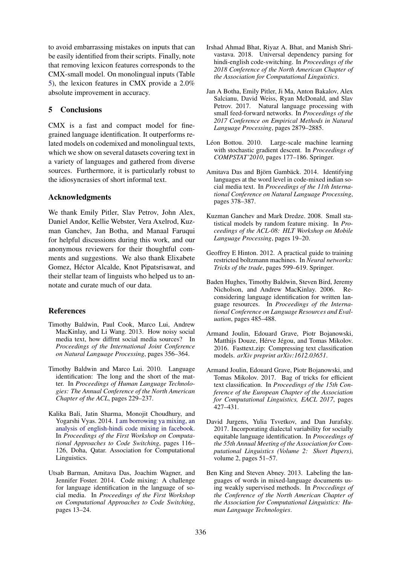to avoid embarrassing mistakes on inputs that can be easily identified from their scripts. Finally, note that removing lexicon features corresponds to the CMX-small model. On monolingual inputs (Table [5\)](#page-6-3), the lexicon features in CMX provide a 2.0% absolute improvement in accuracy.

## 5 Conclusions

CMX is a fast and compact model for finegrained language identification. It outperforms related models on codemixed and monolingual texts, which we show on several datasets covering text in a variety of languages and gathered from diverse sources. Furthermore, it is particularly robust to the idiosyncrasies of short informal text.

## Acknowledgments

We thank Emily Pitler, Slav Petrov, John Alex, Daniel Andor, Kellie Webster, Vera Axelrod, Kuzman Ganchev, Jan Botha, and Manaal Faruqui for helpful discussions during this work, and our anonymous reviewers for their thoughtful comments and suggestions. We also thank Elixabete Gomez, Héctor Alcalde, Knot Pipatsrisawat, and their stellar team of linguists who helped us to annotate and curate much of our data.

## References

- <span id="page-8-2"></span>Timothy Baldwin, Paul Cook, Marco Lui, Andrew MacKinlay, and Li Wang. 2013. How noisy social media text, how diffrnt social media sources? In *Proceedings of the International Joint Conference on Natural Language Processing*, pages 356–364.
- <span id="page-8-4"></span>Timothy Baldwin and Marco Lui. 2010. Language identification: The long and the short of the matter. In *Proceedings of Human Language Technologies: The Annual Conference of the North American Chapter of the ACL*, pages 229–237.
- <span id="page-8-0"></span>Kalika Bali, Jatin Sharma, Monojit Choudhury, and Yogarshi Vyas. 2014. [I am borrowing ya mixing, an](http://www.aclweb.org/anthology/W14-3914) [analysis of english-hindi code mixing in facebook.](http://www.aclweb.org/anthology/W14-3914) In *Proceedings of the First Workshop on Computational Approaches to Code Switching*, pages 116– 126, Doha, Qatar. Association for Computational Linguistics.
- <span id="page-8-8"></span>Utsab Barman, Amitava Das, Joachim Wagner, and Jennifer Foster. 2014. Code mixing: A challenge for language identification in the language of social media. In *Proceedings of the First Workshop on Computational Approaches to Code Switching*, pages 13–24.
- <span id="page-8-1"></span>Irshad Ahmad Bhat, Riyaz A. Bhat, and Manish Shrivastava. 2018. Universal dependency parsing for hindi-english code-switching. In *Proceedings of the 2018 Conference of the North American Chapter of the Association for Computational Linguistics*.
- <span id="page-8-9"></span>Jan A Botha, Emily Pitler, Ji Ma, Anton Bakalov, Alex Salcianu, David Weiss, Ryan McDonald, and Slav Petrov. 2017. Natural language processing with small feed-forward networks. In *Proceedings of the 2017 Conference on Empirical Methods in Natural Language Processing*, pages 2879–2885.
- <span id="page-8-12"></span>Léon Bottou. 2010. Large-scale machine learning with stochastic gradient descent. In *Proceedings of COMPSTAT'2010*, pages 177–186. Springer.
- <span id="page-8-7"></span>Amitava Das and Björn Gambäck. 2014. Identifying languages at the word level in code-mixed indian social media text. In *Proceedings of the 11th International Conference on Natural Language Processing*, pages 378–387.
- <span id="page-8-10"></span>Kuzman Ganchev and Mark Dredze. 2008. Small statistical models by random feature mixing. In *Proceedings of the ACL-08: HLT Workshop on Mobile Language Processing*, pages 19–20.
- <span id="page-8-13"></span>Geoffrey E Hinton. 2012. A practical guide to training restricted boltzmann machines. In *Neural networks: Tricks of the trade*, pages 599–619. Springer.
- <span id="page-8-3"></span>Baden Hughes, Timothy Baldwin, Steven Bird, Jeremy Nicholson, and Andrew MacKinlay. 2006. Reconsidering language identification for written language resources. In *Proceedings of the International Conference on Language Resources and Evaluation*, pages 485–488.
- <span id="page-8-11"></span>Armand Joulin, Edouard Grave, Piotr Bojanowski, Matthijs Douze, Hérve Jégou, and Tomas Mikolov. 2016. Fasttext.zip: Compressing text classification models. *arXiv preprint arXiv:1612.03651*.
- <span id="page-8-14"></span>Armand Joulin, Edouard Grave, Piotr Bojanowski, and Tomas Mikolov. 2017. Bag of tricks for efficient text classification. In *Proceedings of the 15th Conference of the European Chapter of the Association for Computational Linguistics, EACL 2017*, pages  $427 - 431$ .
- <span id="page-8-6"></span>David Jurgens, Yulia Tsvetkov, and Dan Jurafsky. 2017. Incorporating dialectal variability for socially equitable language identification. In *Proceedings of the 55th Annual Meeting of the Association for Computational Linguistics (Volume 2: Short Papers)*, volume 2, pages 51–57.
- <span id="page-8-5"></span>Ben King and Steven Abney. 2013. Labeling the languages of words in mixed-language documents using weakly supervised methods. In *Proccedings of the Conference of the North American Chapter of the Association for Computational Linguistics: Human Language Technologies*.